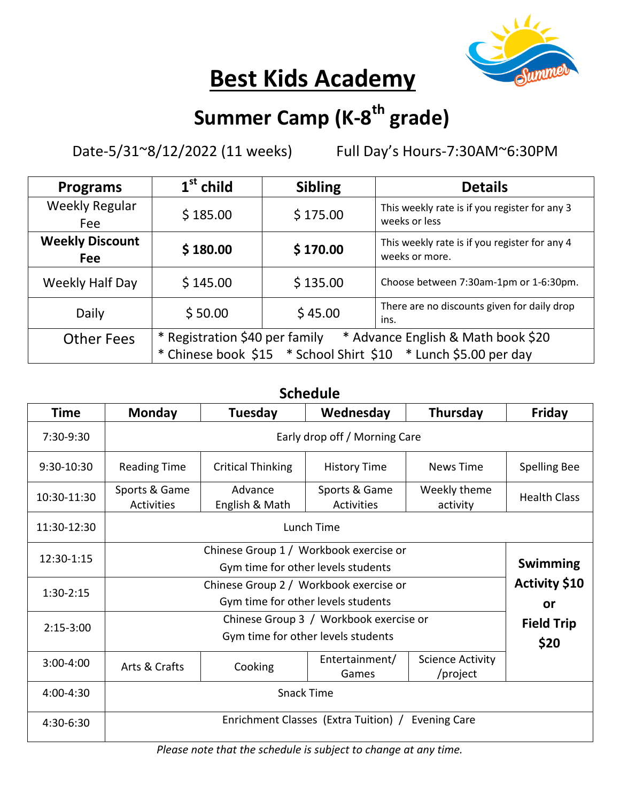

# **Best Kids Academy**

## **Summer Camp (K-8 th grade)**

Date-5/31~8/12/2022 (11 weeks) Full Day's Hours-7:30AM~6:30PM

| <b>Programs</b>               | $1st$ child                                                                                                                            | <b>Sibling</b> | <b>Details</b>                                                  |  |  |
|-------------------------------|----------------------------------------------------------------------------------------------------------------------------------------|----------------|-----------------------------------------------------------------|--|--|
| <b>Weekly Regular</b><br>Fee  | \$185.00                                                                                                                               | \$175.00       | This weekly rate is if you register for any 3<br>weeks or less  |  |  |
| <b>Weekly Discount</b><br>Fee | \$180.00                                                                                                                               | \$170.00       | This weekly rate is if you register for any 4<br>weeks or more. |  |  |
| Weekly Half Day               | \$145.00                                                                                                                               | \$135.00       | Choose between 7:30am-1pm or 1-6:30pm.                          |  |  |
| Daily                         | \$50.00                                                                                                                                | \$45.00        | There are no discounts given for daily drop<br>ins.             |  |  |
| <b>Other Fees</b>             | * Registration \$40 per family<br>* Advance English & Math book \$20<br>* Chinese book \$15 * School Shirt \$10 * Lunch \$5.00 per day |                |                                                                 |  |  |

### **Schedule**

| Time        | Monday                                                      | Tuesday                   | Wednesday                   | Thursday                 | Friday              |  |  |  |
|-------------|-------------------------------------------------------------|---------------------------|-----------------------------|--------------------------|---------------------|--|--|--|
| 7:30-9:30   | Early drop off / Morning Care                               |                           |                             |                          |                     |  |  |  |
| 9:30-10:30  | <b>Reading Time</b>                                         | <b>Critical Thinking</b>  | <b>History Time</b>         | <b>News Time</b>         | <b>Spelling Bee</b> |  |  |  |
| 10:30-11:30 | Sports & Game<br>Activities                                 | Advance<br>English & Math | Sports & Game<br>Activities | Weekly theme<br>activity | <b>Health Class</b> |  |  |  |
| 11:30-12:30 | Lunch Time                                                  |                           |                             |                          |                     |  |  |  |
| 12:30-1:15  |                                                             |                           |                             |                          |                     |  |  |  |
|             |                                                             | <b>Swimming</b>           |                             |                          |                     |  |  |  |
| $1:30-2:15$ |                                                             | <b>Activity \$10</b>      |                             |                          |                     |  |  |  |
|             |                                                             | or                        |                             |                          |                     |  |  |  |
| $2:15-3:00$ |                                                             | <b>Field Trip</b>         |                             |                          |                     |  |  |  |
|             |                                                             | \$20                      |                             |                          |                     |  |  |  |
| 3:00-4:00   | Arts & Crafts                                               | Cooking                   | Entertainment/              | <b>Science Activity</b>  |                     |  |  |  |
|             |                                                             |                           | Games                       | /project                 |                     |  |  |  |
| 4:00-4:30   | <b>Snack Time</b>                                           |                           |                             |                          |                     |  |  |  |
| 4:30-6:30   | Enrichment Classes (Extra Tuition) /<br><b>Evening Care</b> |                           |                             |                          |                     |  |  |  |

*Please note that the schedule is subject to change at any time.*